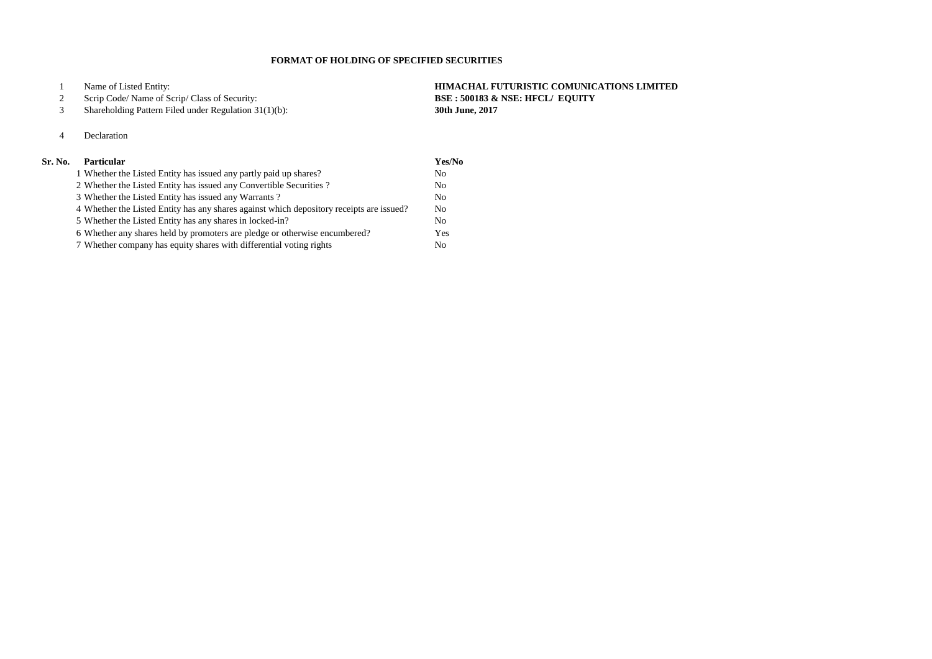Name of Listed Entity: **HIMACHAL FUTURISTIC COMUNICATIONS LIMITED**

## Scrip Code/ Name of Scrip/ Class of Security: **BSE : 500183 & NSE: HFCL/ EQUITY**

Shareholding Pattern Filed under Regulation 31(1)(b): **30th June, 2017**

# Declaration

| Sr. No. | <b>Particular</b>                                                                        | Yes/No         |
|---------|------------------------------------------------------------------------------------------|----------------|
|         | 1 Whether the Listed Entity has issued any partly paid up shares?                        | N <sub>0</sub> |
|         | 2 Whether the Listed Entity has issued any Convertible Securities?                       | N <sub>0</sub> |
|         | 3 Whether the Listed Entity has issued any Warrants?                                     | N <sub>0</sub> |
|         | 4 Whether the Listed Entity has any shares against which depository receipts are issued? | N <sub>0</sub> |
|         | 5 Whether the Listed Entity has any shares in locked-in?                                 | N <sub>0</sub> |
|         | 6 Whether any shares held by promoters are pledge or otherwise encumbered?               | Yes            |
|         | 7 Whether company has equity shares with differential voting rights                      | N <sub>0</sub> |

## **FORMAT OF HOLDING OF SPECIFIED SECURITIES**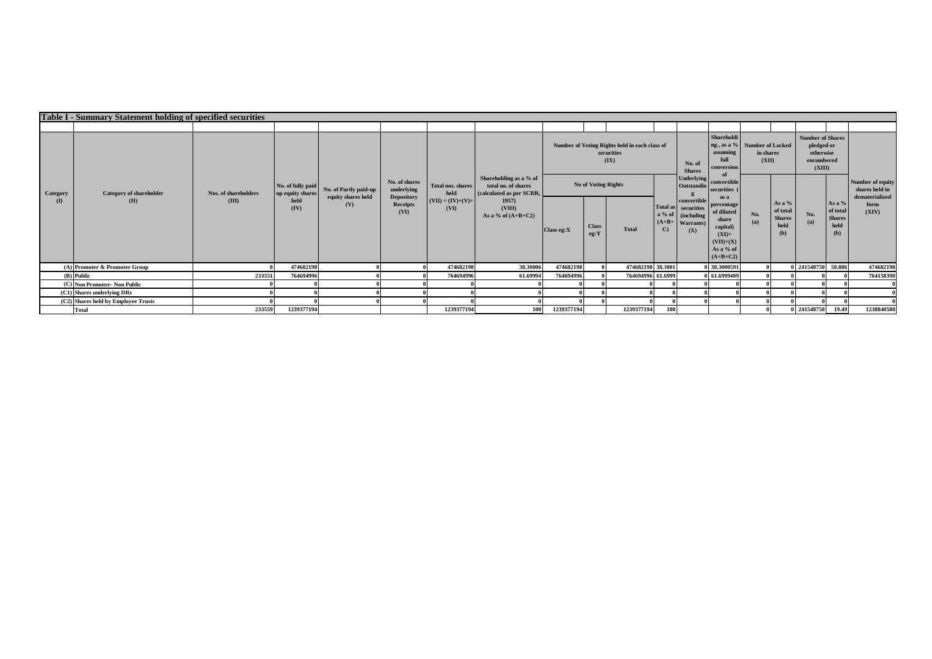|                                     | <b>Table I - Summary Statement holding of specified securities</b> |        |                      |                           |                                       |                             |                                                                           |                                                                     |                      |                                  |              |                                                                                     |                                                                                                            |                    |                                                      |                                                                            |                                                    |               |  |  |  |                                                      |
|-------------------------------------|--------------------------------------------------------------------|--------|----------------------|---------------------------|---------------------------------------|-----------------------------|---------------------------------------------------------------------------|---------------------------------------------------------------------|----------------------|----------------------------------|--------------|-------------------------------------------------------------------------------------|------------------------------------------------------------------------------------------------------------|--------------------|------------------------------------------------------|----------------------------------------------------------------------------|----------------------------------------------------|---------------|--|--|--|------------------------------------------------------|
|                                     |                                                                    |        |                      |                           |                                       |                             |                                                                           |                                                                     |                      |                                  |              |                                                                                     |                                                                                                            |                    |                                                      |                                                                            |                                                    |               |  |  |  |                                                      |
|                                     |                                                                    |        |                      |                           |                                       |                             | Shareholding as a % of<br>total no. of shares<br>(calculated as per SCRR, | Number of Voting Rights held in each class of<br>securities<br>(IX) |                      |                                  |              | No. of<br><b>Shares</b>                                                             | Shareholdi<br>ng, as a % Number of Locked<br>assuming<br>full<br>conversion                                | in shares<br>(XII) |                                                      | <b>Number of Shares</b><br>pledged or<br>otherwise<br>encumbered<br>(XIII) |                                                    |               |  |  |  |                                                      |
| Category                            | <b>Category of shareholder</b><br>(II)                             |        | Nos. of shareholders |                           | No. of fully paid<br>up equity shares | No. of Partly paid-up       |                                                                           | No. of shares<br>underlying                                         |                      | <b>Total nos, shares</b><br>held |              |                                                                                     | <b>No of Voting Rights</b>                                                                                 |                    |                                                      | <b>Underlying</b><br>Outstandin                                            | convertible<br>securities                          |               |  |  |  | Number of equity<br>shares held in<br>dematerialized |
| $\mathbf{I}(I)$                     |                                                                    | (III)  | held<br>(IV)         | equity shares held<br>(V) | <b>Depository</b><br>Receipts<br>(VI) | $(VII) = (IV)+(V)+$<br>(VI) | 1957<br>(VIII)<br>As a % of $(A+B+C2)$                                    | Class eg: X                                                         | <b>Class</b><br>eg:Y | <b>Total</b>                     | $\mathbf{C}$ | convertible<br>Total as securities<br>a % of (including<br>$(A+B+$ Warrants)<br>(X) | as a<br>percentage<br>of diluted<br>share<br>capital)<br>$(XI)=$<br>$(VII)+(X)$<br>As a % of<br>$(A+B+C2)$ | No.<br>(a)         | As a $%$<br>of total<br><b>Shares</b><br>held<br>(b) | No.<br>(a)                                                                 | As a %<br>of total<br><b>Shares</b><br>held<br>(b) | form<br>(XIV) |  |  |  |                                                      |
|                                     | (A) Promoter & Promoter Group                                      |        | 474682198            |                           |                                       | 474682198                   | 38.30006                                                                  | 474682198                                                           |                      | 474682198 38.3001                |              |                                                                                     | 38.3000591                                                                                                 |                    |                                                      | 0 241548750 50.886                                                         |                                                    | 474682198     |  |  |  |                                                      |
| (B) Public                          |                                                                    | 233551 | 764694996            |                           |                                       | 764694996                   | 61.69994                                                                  | 764694996                                                           |                      | 764694996 61.6999                |              |                                                                                     | 61.6999409                                                                                                 |                    |                                                      |                                                                            |                                                    | 764158390     |  |  |  |                                                      |
| (C) Non Promoter- Non Public        |                                                                    |        |                      |                           |                                       |                             |                                                                           |                                                                     |                      |                                  |              |                                                                                     |                                                                                                            |                    |                                                      |                                                                            |                                                    |               |  |  |  |                                                      |
| (C1) Shares underlying DRs          |                                                                    |        |                      |                           |                                       |                             |                                                                           |                                                                     |                      |                                  |              |                                                                                     |                                                                                                            |                    |                                                      |                                                                            |                                                    |               |  |  |  |                                                      |
| (C2) Shares held by Employee Trusts |                                                                    |        |                      |                           |                                       |                             |                                                                           |                                                                     |                      |                                  |              |                                                                                     |                                                                                                            |                    |                                                      |                                                                            |                                                    |               |  |  |  |                                                      |
|                                     | <b>Total</b>                                                       | 233559 | 1239377194           |                           |                                       | 1239377194                  | 100                                                                       | 1239377194                                                          |                      | 1239377194                       | 100          |                                                                                     |                                                                                                            |                    |                                                      | 0 241548750 19.49                                                          |                                                    | 1238840588    |  |  |  |                                                      |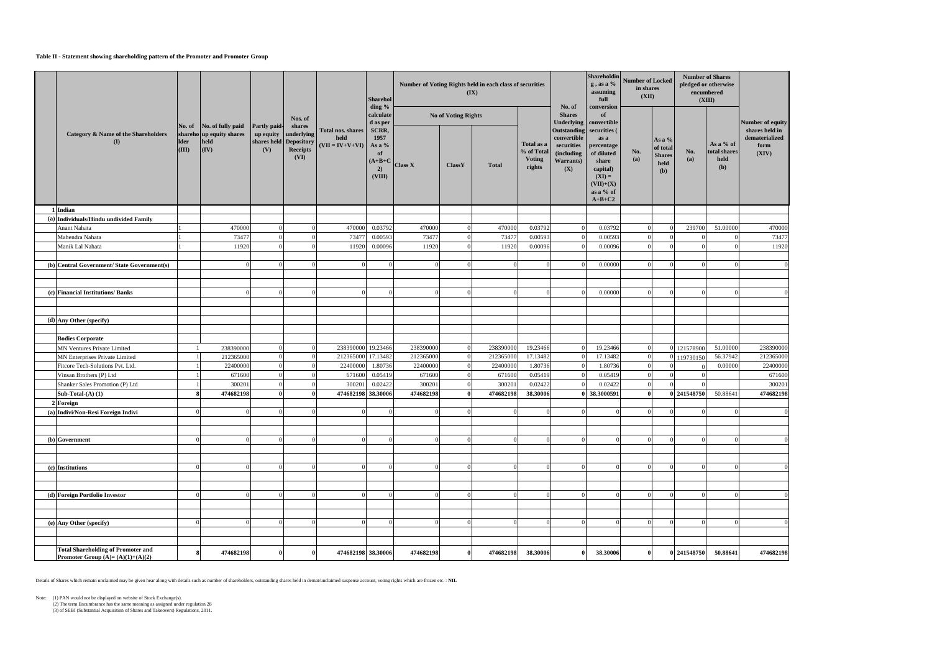### **Table II - Statement showing shareholding pattern of the Promoter and Promoter Group**

|  |                                                                                 |                      |                                                                              |                                  |                                                                           |                                                | Sharehol                                                   |                |                            | Number of Voting Rights held in each class of securities<br>(IX) |                                                     |                                                                                                 | Shareholdin<br>$g$ , as a $%$<br>assuming<br>full                                                         |              | <b>Number of Locked</b><br>in shares<br>(XII)        |             | <b>Number of Shares</b><br>pledged or otherwise<br>encumbered<br>(XIII) |                                                   |
|--|---------------------------------------------------------------------------------|----------------------|------------------------------------------------------------------------------|----------------------------------|---------------------------------------------------------------------------|------------------------------------------------|------------------------------------------------------------|----------------|----------------------------|------------------------------------------------------------------|-----------------------------------------------------|-------------------------------------------------------------------------------------------------|-----------------------------------------------------------------------------------------------------------|--------------|------------------------------------------------------|-------------|-------------------------------------------------------------------------|---------------------------------------------------|
|  |                                                                                 |                      |                                                                              |                                  | Nos. of                                                                   |                                                | ding %<br>calculate<br>d as per                            |                | <b>No of Voting Rights</b> |                                                                  |                                                     | No. of<br><b>Shares</b><br><b>Underlying</b>                                                    | conversion<br>of<br>convertible                                                                           |              |                                                      |             |                                                                         | Number of equity                                  |
|  | <b>Category &amp; Name of the Shareholders</b><br>(I)                           | <b>Ider</b><br>(III) | No. of No. of fully paid<br>shareho up equity shares<br>held<br>$\vert$ (IV) | Partly paid-<br>up equity<br>(V) | shares<br>underlying<br>shares held Depository<br><b>Receipts</b><br>(VI) | Total nos. shares<br>held<br>$(VII = IV+V+VI)$ | SCRR,<br>1957<br>As a %<br>of<br>$(A+B+C)$<br>2)<br>(VIII) | <b>Class X</b> | <b>ClassY</b>              | <b>Total</b>                                                     | Total as a<br>% of Total<br><b>Voting</b><br>rights | Outstanding securities (<br>convertible<br>securities<br><i>(including)</i><br>Warrants)<br>(X) | as a<br>percentage<br>of diluted<br>share<br>capital)<br>$(XI) =$<br>$(VII)+(X)$<br>as a % of<br>$A+B+C2$ | No.<br>(a)   | As a $%$<br>of total<br><b>Shares</b><br>held<br>(b) | No.<br>(a)  | As a % of<br>total shares<br>held<br>(b)                                | shares held in<br>dematerialized<br>form<br>(XIV) |
|  | 1 Indian                                                                        |                      |                                                                              |                                  |                                                                           |                                                |                                                            |                |                            |                                                                  |                                                     |                                                                                                 |                                                                                                           |              |                                                      |             |                                                                         |                                                   |
|  | (a) Individuals/Hindu undivided Family                                          |                      |                                                                              |                                  |                                                                           |                                                |                                                            |                |                            |                                                                  |                                                     |                                                                                                 |                                                                                                           |              |                                                      |             |                                                                         |                                                   |
|  | Anant Nahata                                                                    |                      | 470000                                                                       | $^{\circ}$                       |                                                                           | 470000                                         | 0.03792                                                    | 470000         |                            | 470000                                                           | 0.03792                                             |                                                                                                 | 0.03792                                                                                                   |              |                                                      | 239700      | 51.00000                                                                | 470000                                            |
|  | Mahendra Nahata                                                                 |                      | 73477                                                                        | $\Omega$                         | $^{\circ}$                                                                | 73477                                          | 0.00593                                                    | 73477          |                            | 73477                                                            | 0.00593                                             |                                                                                                 | 0.00593                                                                                                   |              | $\Omega$                                             |             |                                                                         | 73477                                             |
|  | Manik Lal Nahata                                                                |                      | 11920                                                                        |                                  |                                                                           | 11920                                          | 0.00096                                                    | 11920          |                            | 11920                                                            | 0.00096                                             |                                                                                                 | 0.00096                                                                                                   |              | $\Omega$                                             |             |                                                                         | 11920                                             |
|  |                                                                                 |                      |                                                                              |                                  | $\Omega$                                                                  | $\overline{0}$                                 |                                                            |                |                            |                                                                  |                                                     |                                                                                                 | 0.00000                                                                                                   |              | $\Omega$                                             | ſ           |                                                                         |                                                   |
|  | (b) Central Government/ State Government(s)                                     |                      |                                                                              |                                  |                                                                           |                                                |                                                            |                |                            |                                                                  |                                                     |                                                                                                 |                                                                                                           |              |                                                      |             |                                                                         |                                                   |
|  |                                                                                 |                      |                                                                              |                                  |                                                                           |                                                |                                                            |                |                            |                                                                  |                                                     |                                                                                                 |                                                                                                           |              |                                                      |             |                                                                         |                                                   |
|  | (c) Financial Institutions/ Banks                                               |                      |                                                                              |                                  | $\Omega$                                                                  | $\overline{0}$                                 |                                                            |                |                            |                                                                  |                                                     |                                                                                                 | 0.00000                                                                                                   |              | $\Omega$                                             | ſ           |                                                                         |                                                   |
|  |                                                                                 |                      |                                                                              |                                  |                                                                           |                                                |                                                            |                |                            |                                                                  |                                                     |                                                                                                 |                                                                                                           |              |                                                      |             |                                                                         |                                                   |
|  |                                                                                 |                      |                                                                              |                                  |                                                                           |                                                |                                                            |                |                            |                                                                  |                                                     |                                                                                                 |                                                                                                           |              |                                                      |             |                                                                         |                                                   |
|  | (d) Any Other (specify)                                                         |                      |                                                                              |                                  |                                                                           |                                                |                                                            |                |                            |                                                                  |                                                     |                                                                                                 |                                                                                                           |              |                                                      |             |                                                                         |                                                   |
|  |                                                                                 |                      |                                                                              |                                  |                                                                           |                                                |                                                            |                |                            |                                                                  |                                                     |                                                                                                 |                                                                                                           |              |                                                      |             |                                                                         |                                                   |
|  | <b>Bodies Corporate</b>                                                         |                      |                                                                              |                                  |                                                                           |                                                |                                                            |                |                            |                                                                  |                                                     |                                                                                                 |                                                                                                           |              |                                                      |             |                                                                         |                                                   |
|  | MN Ventures Private Limited                                                     |                      | 238390000                                                                    | $\Omega$                         | $\Omega$                                                                  | 238390000 19.23466                             |                                                            | 238390000      |                            | 238390000                                                        | 19.23466                                            |                                                                                                 | 19.23466                                                                                                  |              |                                                      | 0 121578900 | 51.00000                                                                | 238390000                                         |
|  | MN Enterprises Private Limited                                                  |                      | 212365000                                                                    | $\Omega$                         | - 0                                                                       | 212365000 17.13482                             |                                                            | 212365000      |                            | 212365000                                                        | 17.13482                                            |                                                                                                 | 17.13482                                                                                                  |              |                                                      | 119730150   | 56.37942                                                                | 212365000                                         |
|  | Fitcore Tech-Solutions Pvt. Ltd.                                                |                      | 22400000                                                                     | $\Omega$                         | - 0                                                                       | 22400000                                       | 1.80736                                                    | 22400000       |                            | 22400000                                                         | 1.80736                                             |                                                                                                 | 1.80736                                                                                                   |              |                                                      |             | 0.00000                                                                 | 22400000                                          |
|  | Vinsan Brothers (P) Ltd                                                         |                      | 671600                                                                       | $\Omega$                         | - ( )                                                                     | 671600                                         | 0.05419                                                    | 671600         |                            | 671600                                                           | 0.05419                                             |                                                                                                 | 0.05419                                                                                                   |              |                                                      |             |                                                                         | 671600                                            |
|  | Shanker Sales Promotion (P) Ltd                                                 |                      | 300201                                                                       | $\Omega$                         | - 0                                                                       | 300201                                         | 0.02422                                                    | 300201         |                            | 300201                                                           | 0.02422                                             |                                                                                                 | 0.02422                                                                                                   |              |                                                      |             |                                                                         | 300201                                            |
|  | Sub-Total- $(A)$ $(1)$                                                          |                      | 474682198                                                                    | 0                                | $\mathbf{0}$                                                              | 474682198 38.30006                             |                                                            | 474682198      |                            | 474682198                                                        | 38.30006                                            |                                                                                                 | 38.3000591                                                                                                |              |                                                      | 0 241548750 | 50.88641                                                                | 474682198                                         |
|  | <b>2 Foreign</b>                                                                |                      |                                                                              |                                  |                                                                           |                                                |                                                            |                |                            |                                                                  |                                                     |                                                                                                 |                                                                                                           |              |                                                      |             |                                                                         |                                                   |
|  | (a) Indivi/Non-Resi Foreign Indivi                                              |                      |                                                                              |                                  | $\Omega$                                                                  | $\Omega$                                       |                                                            |                |                            |                                                                  |                                                     |                                                                                                 |                                                                                                           |              |                                                      |             |                                                                         |                                                   |
|  |                                                                                 |                      |                                                                              |                                  |                                                                           |                                                |                                                            |                |                            |                                                                  |                                                     |                                                                                                 |                                                                                                           |              |                                                      |             |                                                                         |                                                   |
|  | $(b)$ Government                                                                | $\Omega$             |                                                                              |                                  | $\Omega$                                                                  | $\Omega$                                       |                                                            |                |                            |                                                                  |                                                     |                                                                                                 |                                                                                                           |              |                                                      | ſ           |                                                                         |                                                   |
|  |                                                                                 |                      |                                                                              |                                  |                                                                           |                                                |                                                            |                |                            |                                                                  |                                                     |                                                                                                 |                                                                                                           |              |                                                      |             |                                                                         |                                                   |
|  |                                                                                 |                      |                                                                              |                                  |                                                                           |                                                |                                                            |                |                            |                                                                  |                                                     |                                                                                                 |                                                                                                           |              |                                                      |             |                                                                         |                                                   |
|  | (c) Institutions                                                                | $\Omega$             |                                                                              |                                  | $\Omega$                                                                  | $\Omega$                                       |                                                            |                |                            |                                                                  |                                                     |                                                                                                 |                                                                                                           |              |                                                      |             |                                                                         |                                                   |
|  |                                                                                 |                      |                                                                              |                                  |                                                                           |                                                |                                                            |                |                            |                                                                  |                                                     |                                                                                                 |                                                                                                           |              |                                                      |             |                                                                         |                                                   |
|  |                                                                                 |                      |                                                                              |                                  |                                                                           |                                                |                                                            |                |                            |                                                                  |                                                     |                                                                                                 |                                                                                                           |              |                                                      |             |                                                                         |                                                   |
|  | (d) Foreign Portfolio Investor                                                  | $\Omega$             |                                                                              |                                  | $^{\circ}$                                                                | $\overline{0}$                                 |                                                            |                |                            |                                                                  |                                                     |                                                                                                 |                                                                                                           |              | $\Omega$                                             | ſ           |                                                                         |                                                   |
|  |                                                                                 |                      |                                                                              |                                  |                                                                           |                                                |                                                            |                |                            |                                                                  |                                                     |                                                                                                 |                                                                                                           |              |                                                      |             |                                                                         |                                                   |
|  |                                                                                 |                      |                                                                              |                                  |                                                                           |                                                |                                                            |                |                            |                                                                  |                                                     |                                                                                                 |                                                                                                           |              |                                                      |             |                                                                         |                                                   |
|  | (e) Any Other (specify)                                                         | $\Omega$             |                                                                              |                                  | - 0                                                                       | $\theta$                                       |                                                            |                |                            |                                                                  |                                                     |                                                                                                 |                                                                                                           |              | $\Omega$                                             |             |                                                                         |                                                   |
|  |                                                                                 |                      |                                                                              |                                  |                                                                           |                                                |                                                            |                |                            |                                                                  |                                                     |                                                                                                 |                                                                                                           |              |                                                      |             |                                                                         |                                                   |
|  |                                                                                 |                      |                                                                              |                                  |                                                                           |                                                |                                                            |                |                            |                                                                  |                                                     |                                                                                                 |                                                                                                           |              |                                                      |             |                                                                         |                                                   |
|  | <b>Total Shareholding of Promoter and</b><br>Promoter Group $(A)=(A)(1)+(A)(2)$ | 8                    | 474682198                                                                    | 0                                | $\bf{0}$                                                                  | 474682198 38.30006                             |                                                            | 474682198      |                            | 474682198                                                        | 38.30006                                            | $\mathbf{0}$                                                                                    | 38.30006                                                                                                  | $\mathbf{0}$ |                                                      | 0 241548750 | 50.88641                                                                | 474682198                                         |

Details of Shares which remain unclaimed may be given hear along with details such as number of shareholders, outstanding shares held in demat/unclaimed suspense account, voting rights which are frozen etc. : **NIL**

Note: (1) PAN would not be displayed on website of Stock Exchange(s).

(2) The term Encumbrance has the same meaning as assigned under regulation 28

(3) of SEBI (Substantial Acquisition of Shares and Takeovers) Regulations, 2011.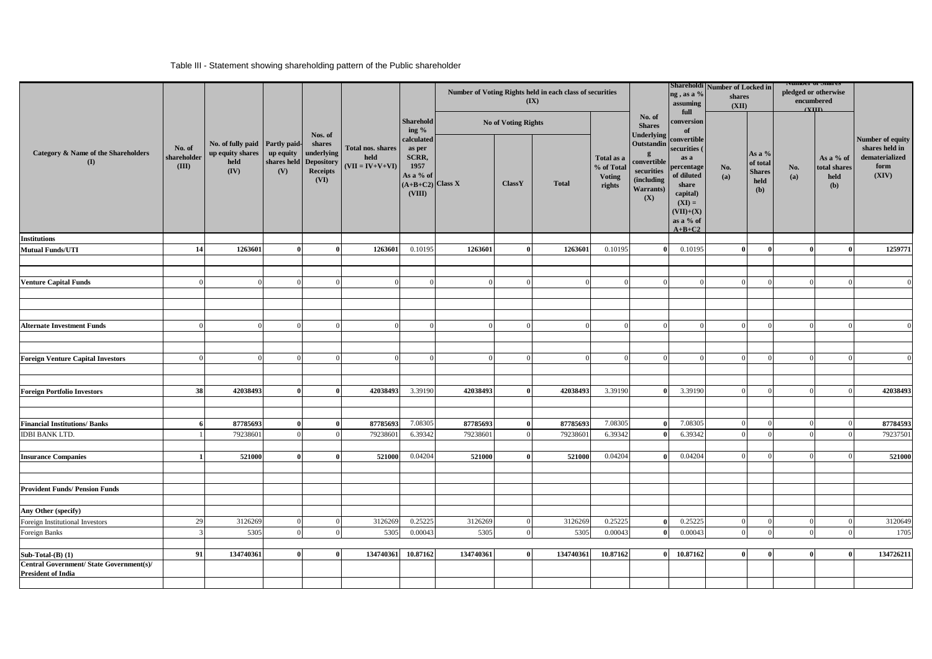### Table III - Statement showing shareholding pattern of the Public shareholder

|                                                                       |                                |                                                                    |                                 |                                                                      |                                                |                                                                                  |           |                            | Number of Voting Rights held in each class of securities<br>$(\mathbf{IX})$ |                                                     |                                                                                                                                                                                      | ng, as a %<br>assuming                                                                                                                   | Shareholdi Number of Locked in<br>shares<br>(XII) |                                                    | <b>NUMBER OF SHAFTES</b><br>pledged or otherwise<br>encumbered<br>(TIII) |                                          |                                                                       |
|-----------------------------------------------------------------------|--------------------------------|--------------------------------------------------------------------|---------------------------------|----------------------------------------------------------------------|------------------------------------------------|----------------------------------------------------------------------------------|-----------|----------------------------|-----------------------------------------------------------------------------|-----------------------------------------------------|--------------------------------------------------------------------------------------------------------------------------------------------------------------------------------------|------------------------------------------------------------------------------------------------------------------------------------------|---------------------------------------------------|----------------------------------------------------|--------------------------------------------------------------------------|------------------------------------------|-----------------------------------------------------------------------|
|                                                                       |                                |                                                                    |                                 | Nos. of                                                              |                                                | <b>Sharehold</b><br>ing $\%$                                                     |           | <b>No of Voting Rights</b> |                                                                             |                                                     | No. of<br><b>Shares</b><br>Underlying<br>Outstandin<br>convertible<br>securities<br>(including<br><b>Warrants</b> )<br>(X)<br>$\Omega$<br>$\Omega$<br>7.08305<br>6.39342<br>$\Omega$ | full<br>conversion<br>of                                                                                                                 |                                                   |                                                    |                                                                          |                                          |                                                                       |
| Category & Name of the Shareholders<br>$\mathbf{I}$                   | No. of<br>shareholder<br>(III) | No. of fully paid Partly paid-<br>up equity shares<br>held<br>(IV) | up equity<br>shares held<br>(V) | shares<br>underlying<br><b>Depository</b><br><b>Receipts</b><br>(VI) | Total nos. shares<br>held<br>$(VII = IV+V+VI)$ | calculated<br>as per<br>SCRR,<br>1957<br>As a % of<br>$A+B+C2$ Class X<br>(VIII) |           | ClassY                     | <b>Total</b>                                                                | Total as a<br>% of Total<br><b>Voting</b><br>rights |                                                                                                                                                                                      | convertible<br>securities (<br>as a<br>percentage<br>of diluted<br>share<br>capital)<br>$(XI) =$<br>$(VII)+(X)$<br>as a % of<br>$A+B+C2$ | No.<br>(a)                                        | As a %<br>of total<br><b>Shares</b><br>held<br>(b) | No.<br>(a)                                                               | As a % of<br>total shares<br>held<br>(b) | Number of equity<br>shares held in<br>dematerialized<br>form<br>(XIV) |
| <b>Institutions</b>                                                   |                                |                                                                    |                                 |                                                                      |                                                |                                                                                  |           |                            |                                                                             |                                                     |                                                                                                                                                                                      |                                                                                                                                          |                                                   |                                                    |                                                                          |                                          |                                                                       |
| <b>Mutual Funds/UTI</b>                                               | 14                             | 1263601                                                            |                                 | $\theta$                                                             | 1263601                                        | 0.10195                                                                          | 1263601   | $\theta$                   | 1263601                                                                     | 0.10195                                             |                                                                                                                                                                                      | 0.10195                                                                                                                                  | $\mathbf{0}$                                      |                                                    | $\mathbf{0}$                                                             |                                          | 1259771                                                               |
|                                                                       |                                |                                                                    |                                 |                                                                      |                                                |                                                                                  |           |                            |                                                                             |                                                     |                                                                                                                                                                                      |                                                                                                                                          |                                                   |                                                    |                                                                          |                                          |                                                                       |
| <b>Venture Capital Funds</b>                                          |                                |                                                                    |                                 |                                                                      |                                                | $\Omega$                                                                         |           | $\Omega$                   |                                                                             |                                                     |                                                                                                                                                                                      |                                                                                                                                          |                                                   |                                                    |                                                                          | $\Omega$                                 |                                                                       |
|                                                                       |                                |                                                                    |                                 |                                                                      |                                                |                                                                                  |           |                            |                                                                             |                                                     |                                                                                                                                                                                      |                                                                                                                                          |                                                   |                                                    |                                                                          |                                          |                                                                       |
|                                                                       |                                |                                                                    |                                 |                                                                      |                                                |                                                                                  |           |                            |                                                                             |                                                     |                                                                                                                                                                                      |                                                                                                                                          |                                                   |                                                    |                                                                          |                                          |                                                                       |
|                                                                       |                                |                                                                    |                                 |                                                                      |                                                |                                                                                  |           |                            |                                                                             |                                                     |                                                                                                                                                                                      |                                                                                                                                          |                                                   |                                                    |                                                                          |                                          |                                                                       |
| <b>Alternate Investment Funds</b>                                     | $\Omega$                       | $\Omega$                                                           | $\Omega$                        | $\Omega$                                                             |                                                | $\Omega$                                                                         |           | $\Omega$                   | $\Omega$                                                                    |                                                     |                                                                                                                                                                                      | $\Omega$                                                                                                                                 | $\Omega$                                          | $\sqrt{ }$                                         | $\Omega$                                                                 | $\Omega$                                 |                                                                       |
|                                                                       |                                |                                                                    |                                 |                                                                      |                                                |                                                                                  |           |                            |                                                                             |                                                     |                                                                                                                                                                                      |                                                                                                                                          |                                                   |                                                    |                                                                          |                                          |                                                                       |
|                                                                       |                                |                                                                    |                                 |                                                                      |                                                |                                                                                  |           |                            |                                                                             |                                                     |                                                                                                                                                                                      |                                                                                                                                          |                                                   |                                                    |                                                                          |                                          |                                                                       |
| <b>Foreign Venture Capital Investors</b>                              |                                |                                                                    |                                 |                                                                      |                                                |                                                                                  |           |                            |                                                                             |                                                     |                                                                                                                                                                                      |                                                                                                                                          |                                                   |                                                    |                                                                          |                                          |                                                                       |
|                                                                       |                                |                                                                    |                                 |                                                                      |                                                |                                                                                  |           |                            |                                                                             |                                                     |                                                                                                                                                                                      |                                                                                                                                          |                                                   |                                                    |                                                                          |                                          |                                                                       |
|                                                                       |                                |                                                                    |                                 |                                                                      |                                                |                                                                                  |           |                            |                                                                             |                                                     |                                                                                                                                                                                      |                                                                                                                                          |                                                   |                                                    |                                                                          |                                          |                                                                       |
| <b>Foreign Portfolio Investors</b>                                    | 38                             | 42038493                                                           | $\theta$                        |                                                                      | 42038493                                       | 3.39190                                                                          | 42038493  | $\theta$                   | 42038493                                                                    | 3.39190                                             |                                                                                                                                                                                      | 3.39190                                                                                                                                  |                                                   |                                                    |                                                                          | $\Omega$                                 | 42038493                                                              |
|                                                                       |                                |                                                                    |                                 |                                                                      |                                                |                                                                                  |           |                            |                                                                             |                                                     |                                                                                                                                                                                      |                                                                                                                                          |                                                   |                                                    |                                                                          |                                          |                                                                       |
|                                                                       |                                |                                                                    |                                 |                                                                      |                                                |                                                                                  |           |                            |                                                                             |                                                     |                                                                                                                                                                                      |                                                                                                                                          |                                                   |                                                    |                                                                          |                                          |                                                                       |
| <b>Financial Institutions/Banks</b>                                   |                                | 87785693                                                           | $\theta$<br>$\Omega$            | $\theta$<br>$\overline{0}$                                           | 87785693                                       | 7.08305                                                                          | 87785693  | $\bf{0}$                   | 87785693                                                                    |                                                     |                                                                                                                                                                                      | 7.08305<br>6.39342                                                                                                                       | $\Omega$<br>$\Omega$                              |                                                    | $\Omega$<br>$\Omega$                                                     | $\Omega$<br>$\Omega$                     | 87784593                                                              |
| <b>IDBI BANK LTD.</b>                                                 |                                | 79238601                                                           |                                 |                                                                      | 79238601                                       | 6.39342                                                                          | 79238601  | $\overline{0}$             | 79238601                                                                    |                                                     |                                                                                                                                                                                      |                                                                                                                                          |                                                   |                                                    |                                                                          |                                          | 79237501                                                              |
| <b>Insurance Companies</b>                                            |                                | 521000                                                             | Ű                               |                                                                      | 521000                                         | 0.04204                                                                          | 521000    | $\theta$                   | 521000                                                                      | 0.04204                                             |                                                                                                                                                                                      | 0.04204                                                                                                                                  |                                                   |                                                    | $\sqrt{ }$                                                               |                                          | 521000                                                                |
|                                                                       |                                |                                                                    |                                 |                                                                      |                                                |                                                                                  |           |                            |                                                                             |                                                     |                                                                                                                                                                                      |                                                                                                                                          |                                                   |                                                    |                                                                          |                                          |                                                                       |
|                                                                       |                                |                                                                    |                                 |                                                                      |                                                |                                                                                  |           |                            |                                                                             |                                                     |                                                                                                                                                                                      |                                                                                                                                          |                                                   |                                                    |                                                                          |                                          |                                                                       |
| <b>Provident Funds/ Pension Funds</b>                                 |                                |                                                                    |                                 |                                                                      |                                                |                                                                                  |           |                            |                                                                             |                                                     |                                                                                                                                                                                      |                                                                                                                                          |                                                   |                                                    |                                                                          |                                          |                                                                       |
|                                                                       |                                |                                                                    |                                 |                                                                      |                                                |                                                                                  |           |                            |                                                                             |                                                     |                                                                                                                                                                                      |                                                                                                                                          |                                                   |                                                    |                                                                          |                                          |                                                                       |
| Any Other (specify)                                                   |                                |                                                                    |                                 |                                                                      |                                                |                                                                                  |           |                            |                                                                             |                                                     |                                                                                                                                                                                      |                                                                                                                                          |                                                   |                                                    |                                                                          |                                          |                                                                       |
| Foreign Institutional Investors                                       | 29                             | 3126269                                                            |                                 |                                                                      | 3126269                                        | 0.25225                                                                          | 3126269   | $\Omega$                   | 3126269                                                                     | 0.25225                                             |                                                                                                                                                                                      | 0.25225                                                                                                                                  |                                                   |                                                    |                                                                          | $\Omega$                                 | 3120649                                                               |
| Foreign Banks                                                         |                                | 5305                                                               | $\Omega$                        | $\Omega$                                                             | 5305                                           | 0.00043                                                                          | 5305      | $\Omega$                   | 5305                                                                        | 0.00043                                             | $\theta$                                                                                                                                                                             | 0.00043                                                                                                                                  |                                                   |                                                    |                                                                          | $\Omega$                                 | 1705                                                                  |
|                                                                       |                                |                                                                    |                                 |                                                                      |                                                |                                                                                  |           |                            |                                                                             |                                                     |                                                                                                                                                                                      |                                                                                                                                          |                                                   |                                                    |                                                                          |                                          |                                                                       |
| Sub-Total- $(B)$ (1)                                                  | 91                             | 134740361                                                          | $\mathbf{0}$                    | $\theta$                                                             | 134740361                                      | 10.87162                                                                         | 134740361 | $\mathbf{0}$               | 134740361                                                                   | 10.87162                                            | $\mathbf{0}$                                                                                                                                                                         | 10.87162                                                                                                                                 | $\bf{0}$                                          |                                                    | $\bf{0}$                                                                 | $\bf{0}$                                 | 134726211                                                             |
| Central Government/ State Government(s)/<br><b>President of India</b> |                                |                                                                    |                                 |                                                                      |                                                |                                                                                  |           |                            |                                                                             |                                                     |                                                                                                                                                                                      |                                                                                                                                          |                                                   |                                                    |                                                                          |                                          |                                                                       |
|                                                                       |                                |                                                                    |                                 |                                                                      |                                                |                                                                                  |           |                            |                                                                             |                                                     |                                                                                                                                                                                      |                                                                                                                                          |                                                   |                                                    |                                                                          |                                          |                                                                       |
|                                                                       |                                |                                                                    |                                 |                                                                      |                                                |                                                                                  |           |                            |                                                                             |                                                     |                                                                                                                                                                                      |                                                                                                                                          |                                                   |                                                    |                                                                          |                                          |                                                                       |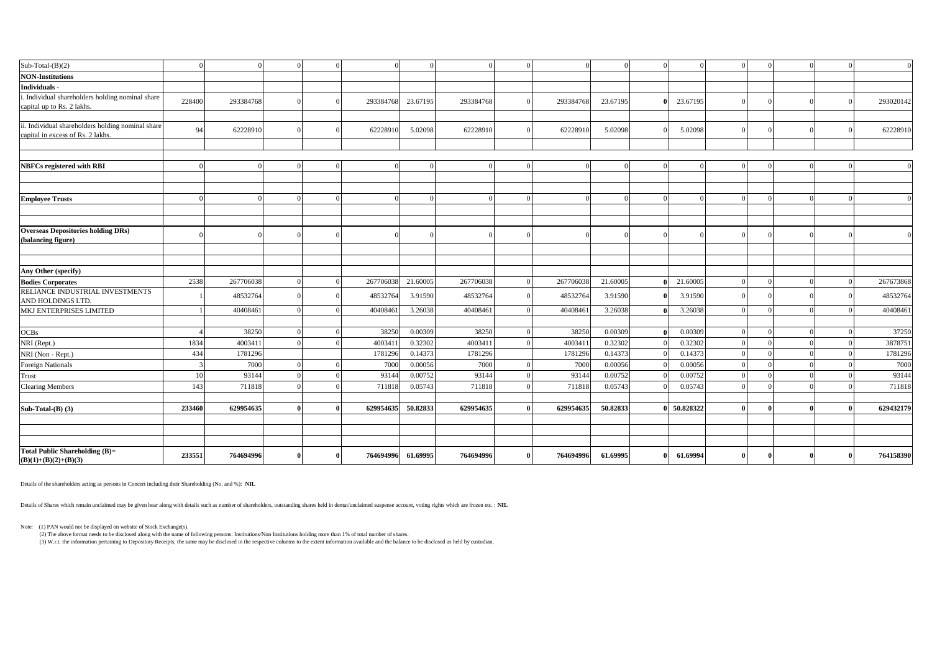| $Sub-Total-(B)(2)$                                       |        | $\sqrt{ }$ |  |           | $\Omega$ |           |           |          | $\sqrt{ }$ |   |  | $\Omega$ | $\overline{0}$ |
|----------------------------------------------------------|--------|------------|--|-----------|----------|-----------|-----------|----------|------------|---|--|----------|----------------|
| <b>NON-Institutions</b>                                  |        |            |  |           |          |           |           |          |            |   |  |          |                |
| Individuals -                                            |        |            |  |           |          |           |           |          |            |   |  |          |                |
| . Individual shareholders holding nominal share          | 228400 | 293384768  |  | 293384768 | 23.67195 | 293384768 | 293384768 | 23.67195 | 23.67195   |   |  |          | 293020142      |
| capital up to Rs. 2 lakhs.                               |        |            |  |           |          |           |           |          |            |   |  |          |                |
| ii. Individual shareholders holding nominal share        |        |            |  |           |          |           |           |          |            |   |  |          |                |
| capital in excess of Rs. 2 lakhs.                        | 94     | 62228910   |  | 62228910  | 5.02098  | 62228910  | 62228910  | 5.02098  | 5.02098    |   |  |          | 62228910       |
|                                                          |        |            |  |           |          |           |           |          |            |   |  |          |                |
|                                                          |        |            |  |           |          |           |           |          |            |   |  |          |                |
| <b>NBFCs registered with RBI</b>                         |        | O          |  |           | $\Omega$ |           |           |          | ſ          |   |  |          | $\overline{0}$ |
|                                                          |        |            |  |           |          |           |           |          |            |   |  |          |                |
|                                                          |        |            |  |           |          |           |           |          |            |   |  |          |                |
| <b>Employee Trusts</b>                                   |        |            |  |           | $\Omega$ |           |           |          |            |   |  |          | $\Omega$       |
|                                                          |        |            |  |           |          |           |           |          |            |   |  |          |                |
|                                                          |        |            |  |           |          |           |           |          |            |   |  |          |                |
| <b>Overseas Depositories holding DRs)</b>                |        |            |  |           |          |           |           |          |            |   |  |          | $\overline{0}$ |
| (balancing figure)                                       |        |            |  |           |          |           |           |          |            |   |  |          |                |
|                                                          |        |            |  |           |          |           |           |          |            |   |  |          |                |
| Any Other (specify)                                      |        |            |  |           |          |           |           |          |            |   |  |          |                |
| <b>Bodies Corporates</b>                                 | 2538   | 267706038  |  | 267706038 | 21.60005 | 267706038 | 267706038 | 21.60005 | 21.60005   |   |  |          | 267673868      |
| RELIANCE INDUSTRIAL INVESTMENTS                          |        |            |  |           |          |           |           |          |            |   |  |          |                |
| AND HOLDINGS LTD.                                        |        | 48532764   |  | 48532764  | 3.91590  | 48532764  | 48532764  | 3.91590  | 3.91590    |   |  |          | 48532764       |
| MKJ ENTERPRISES LIMITED                                  |        | 40408461   |  | 40408461  | 3.26038  | 40408461  | 40408461  | 3.26038  | 3.26038    | ſ |  |          | 40408461       |
|                                                          |        |            |  |           |          |           |           |          |            |   |  |          |                |
| OCBs                                                     |        | 38250      |  | 38250     | 0.00309  | 38250     | 38250     | 0.00309  | 0.00309    |   |  |          | 37250          |
| NRI (Rept.)                                              | 1834   | 4003411    |  | 4003411   | 0.32302  | 4003411   | 4003411   | 0.32302  | 0.32302    | ſ |  |          | 3878751        |
| NRI (Non - Rept.)                                        | 434    | 1781296    |  | 1781296   | 0.14373  | 1781296   | 1781296   | 0.14373  | 0.14373    |   |  |          | 1781296        |
| <b>Foreign Nationals</b>                                 |        | 7000       |  | 7000      | 0.00056  | 7000      | 7000      | 0.00056  | 0.00056    |   |  |          | 7000           |
| Trust                                                    | 10     | 93144      |  | 93144     | 0.00752  | 93144     | 93144     | 0.00752  | 0.00752    | ſ |  |          | 93144          |
| <b>Clearing Members</b>                                  | 143    | 711818     |  | 711818    | 0.05743  | 711818    | 711818    | 0.05743  | 0.05743    |   |  |          | 711818         |
|                                                          |        |            |  |           |          |           |           |          |            |   |  |          |                |
| Sub-Total-(B) (3)                                        | 233460 | 629954635  |  | 629954635 | 50.82833 | 629954635 | 629954635 | 50.82833 | 50.828322  |   |  |          | 629432179      |
|                                                          |        |            |  |           |          |           |           |          |            |   |  |          |                |
|                                                          |        |            |  |           |          |           |           |          |            |   |  |          |                |
|                                                          |        |            |  |           |          |           |           |          |            |   |  |          |                |
| Total Public Shareholding (B)=<br>$(B)(1)+(B)(2)+(B)(3)$ | 233551 | 764694996  |  | 764694996 | 61.69995 | 764694996 | 764694996 | 61.69995 | 61.69994   |   |  |          | 764158390      |

Details of the shareholders acting as persons in Concert including their Shareholding (No. and %): **NIL**

Details of Shares which remain unclaimed may be given hear along with details such as number of shareholders, outstanding shares held in demat/unclaimed suspense account, voting rights which are frozen etc. : **NIL**

Note: (1) PAN would not be displayed on website of Stock Exchange(s).

(2) The above format needs to be disclosed along with the name of following persons: Institutions/Non Institutions holding more than 1% of total number of shares.<br>(3) W.r.t. the information pertaining to Depository Receipt